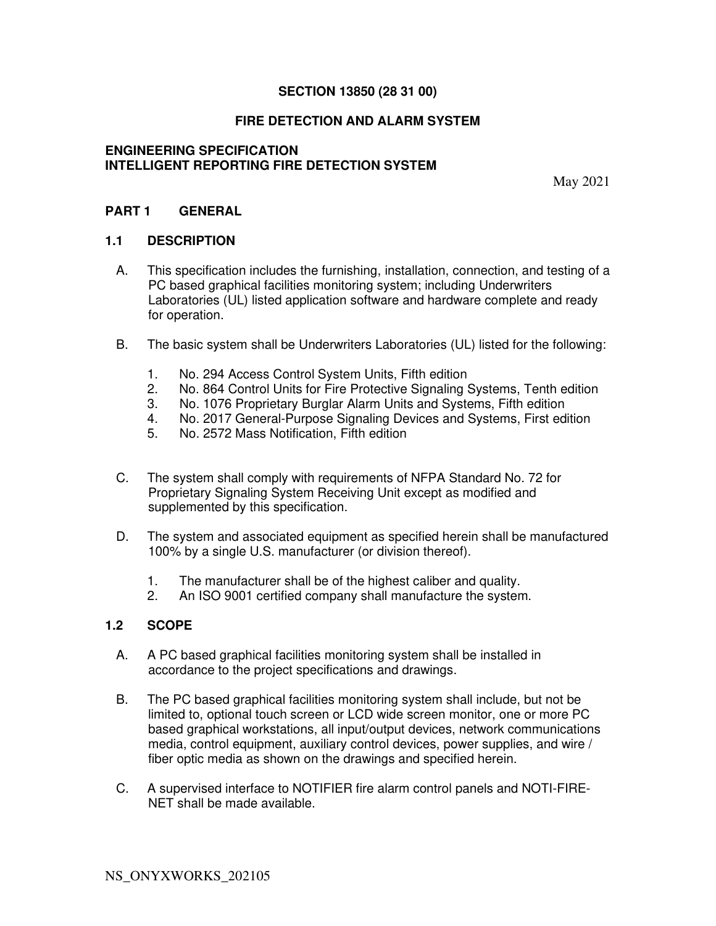#### **SECTION 13850 (28 31 00)**

### **FIRE DETECTION AND ALARM SYSTEM**

#### **ENGINEERING SPECIFICATION INTELLIGENT REPORTING FIRE DETECTION SYSTEM**

May 2021

#### **PART 1 GENERAL**

#### **1.1 DESCRIPTION**

- A. This specification includes the furnishing, installation, connection, and testing of a PC based graphical facilities monitoring system; including Underwriters Laboratories (UL) listed application software and hardware complete and ready for operation.
- B. The basic system shall be Underwriters Laboratories (UL) listed for the following:
	- 1. No. 294 Access Control System Units, Fifth edition
	- 2. No. 864 Control Units for Fire Protective Signaling Systems, Tenth edition
	- 3. No. 1076 Proprietary Burglar Alarm Units and Systems, Fifth edition
	- 4. No. 2017 General-Purpose Signaling Devices and Systems, First edition
	- 5. No. 2572 Mass Notification, Fifth edition
- C. The system shall comply with requirements of NFPA Standard No. 72 for Proprietary Signaling System Receiving Unit except as modified and supplemented by this specification.
- D. The system and associated equipment as specified herein shall be manufactured 100% by a single U.S. manufacturer (or division thereof).
	- 1. The manufacturer shall be of the highest caliber and quality.
	- 2. An ISO 9001 certified company shall manufacture the system.

#### **1.2 SCOPE**

- A. A PC based graphical facilities monitoring system shall be installed in accordance to the project specifications and drawings.
- B. The PC based graphical facilities monitoring system shall include, but not be limited to, optional touch screen or LCD wide screen monitor, one or more PC based graphical workstations, all input/output devices, network communications media, control equipment, auxiliary control devices, power supplies, and wire / fiber optic media as shown on the drawings and specified herein.
- C. A supervised interface to NOTIFIER fire alarm control panels and NOTI-FIRE-NET shall be made available.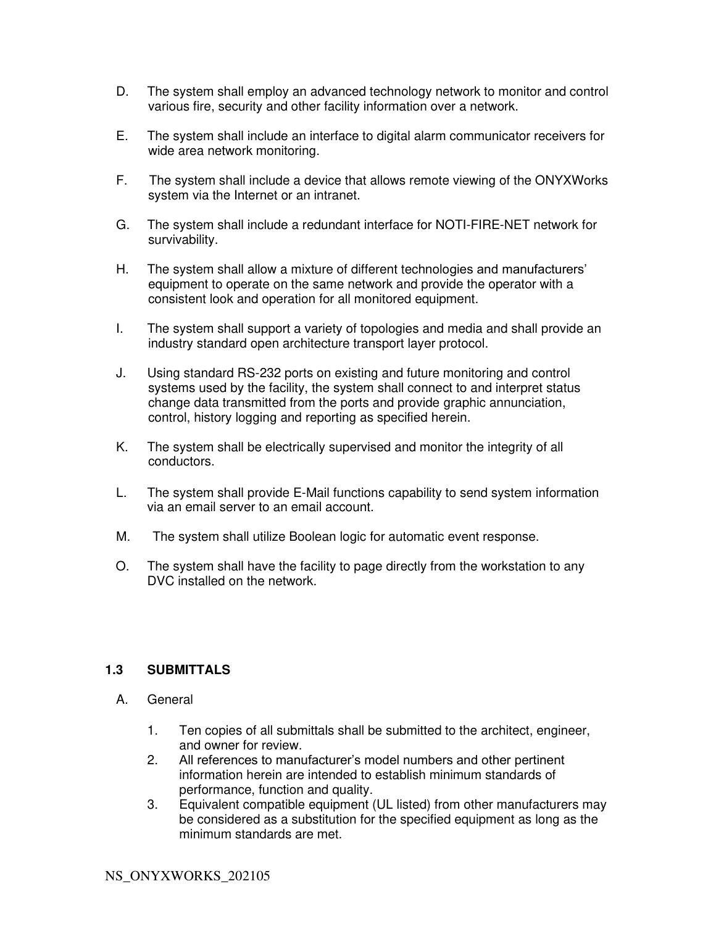- D. The system shall employ an advanced technology network to monitor and control various fire, security and other facility information over a network.
- E. The system shall include an interface to digital alarm communicator receivers for wide area network monitoring.
- F. The system shall include a device that allows remote viewing of the ONYXWorks system via the Internet or an intranet.
- G. The system shall include a redundant interface for NOTI-FIRE-NET network for survivability.
- H. The system shall allow a mixture of different technologies and manufacturers' equipment to operate on the same network and provide the operator with a consistent look and operation for all monitored equipment.
- I. The system shall support a variety of topologies and media and shall provide an industry standard open architecture transport layer protocol.
- J. Using standard RS-232 ports on existing and future monitoring and control systems used by the facility, the system shall connect to and interpret status change data transmitted from the ports and provide graphic annunciation, control, history logging and reporting as specified herein.
- K. The system shall be electrically supervised and monitor the integrity of all conductors.
- L. The system shall provide E-Mail functions capability to send system information via an email server to an email account.
- M. The system shall utilize Boolean logic for automatic event response.
- O. The system shall have the facility to page directly from the workstation to any DVC installed on the network.

#### **1.3 SUBMITTALS**

- A. General
	- 1. Ten copies of all submittals shall be submitted to the architect, engineer, and owner for review.
	- 2. All references to manufacturer's model numbers and other pertinent information herein are intended to establish minimum standards of performance, function and quality.
	- 3. Equivalent compatible equipment (UL listed) from other manufacturers may be considered as a substitution for the specified equipment as long as the minimum standards are met.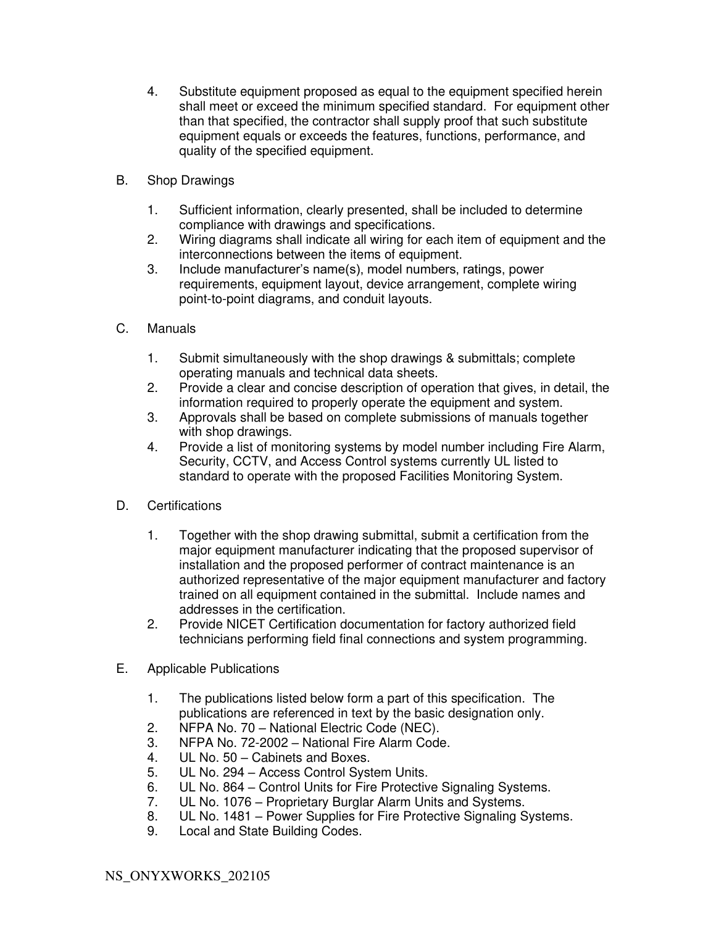- 4. Substitute equipment proposed as equal to the equipment specified herein shall meet or exceed the minimum specified standard. For equipment other than that specified, the contractor shall supply proof that such substitute equipment equals or exceeds the features, functions, performance, and quality of the specified equipment.
- B. Shop Drawings
	- 1. Sufficient information, clearly presented, shall be included to determine compliance with drawings and specifications.
	- 2. Wiring diagrams shall indicate all wiring for each item of equipment and the interconnections between the items of equipment.
	- 3. Include manufacturer's name(s), model numbers, ratings, power requirements, equipment layout, device arrangement, complete wiring point-to-point diagrams, and conduit layouts.
- C. Manuals
	- 1. Submit simultaneously with the shop drawings & submittals; complete operating manuals and technical data sheets.
	- 2. Provide a clear and concise description of operation that gives, in detail, the information required to properly operate the equipment and system.
	- 3. Approvals shall be based on complete submissions of manuals together with shop drawings.
	- 4. Provide a list of monitoring systems by model number including Fire Alarm, Security, CCTV, and Access Control systems currently UL listed to standard to operate with the proposed Facilities Monitoring System.
- D. Certifications
	- 1. Together with the shop drawing submittal, submit a certification from the major equipment manufacturer indicating that the proposed supervisor of installation and the proposed performer of contract maintenance is an authorized representative of the major equipment manufacturer and factory trained on all equipment contained in the submittal. Include names and addresses in the certification.
	- 2. Provide NICET Certification documentation for factory authorized field technicians performing field final connections and system programming.
- E. Applicable Publications
	- 1. The publications listed below form a part of this specification. The publications are referenced in text by the basic designation only.
	- 2. NFPA No. 70 National Electric Code (NEC).
	- 3. NFPA No. 72-2002 National Fire Alarm Code.
	- 4. UL No. 50 Cabinets and Boxes.
	- 5. UL No. 294 Access Control System Units.
	- 6. UL No. 864 Control Units for Fire Protective Signaling Systems.<br>7. UL No. 1076 Proprietary Burglar Alarm Units and Systems.
	- UL No. 1076 Proprietary Burglar Alarm Units and Systems.
	- 8. UL No. 1481 Power Supplies for Fire Protective Signaling Systems.
	- 9. Local and State Building Codes.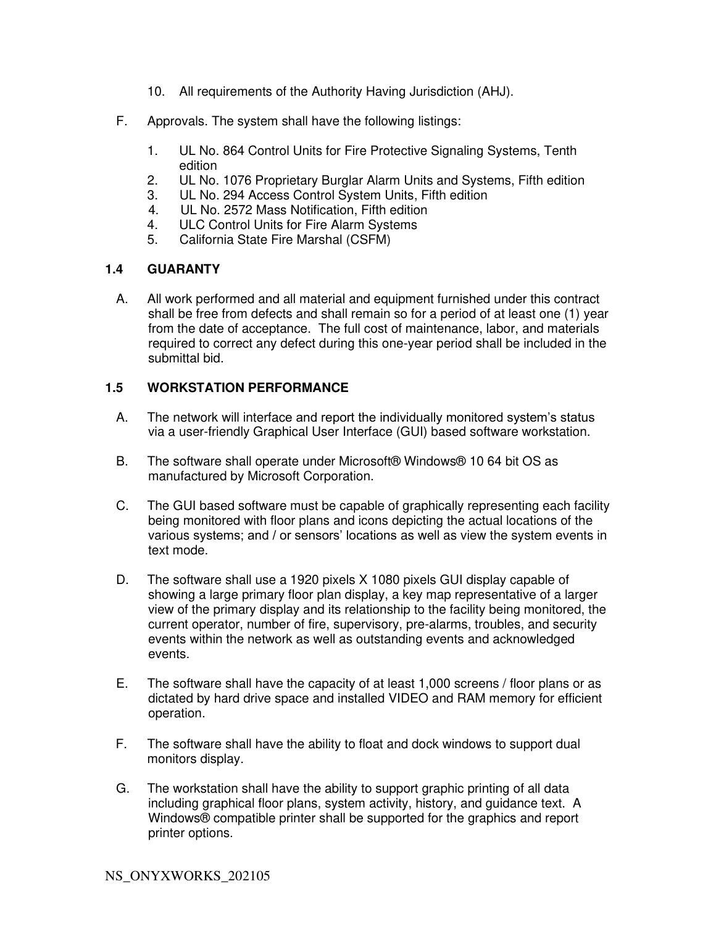- 10. All requirements of the Authority Having Jurisdiction (AHJ).
- F. Approvals. The system shall have the following listings:
	- 1. UL No. 864 Control Units for Fire Protective Signaling Systems, Tenth edition
	- 2. UL No. 1076 Proprietary Burglar Alarm Units and Systems, Fifth edition
	- 3. UL No. 294 Access Control System Units, Fifth edition
	- 4. UL No. 2572 Mass Notification, Fifth edition
	- 4. ULC Control Units for Fire Alarm Systems
	- 5. California State Fire Marshal (CSFM)

### **1.4 GUARANTY**

A. All work performed and all material and equipment furnished under this contract shall be free from defects and shall remain so for a period of at least one (1) year from the date of acceptance. The full cost of maintenance, labor, and materials required to correct any defect during this one-year period shall be included in the submittal bid.

## **1.5 WORKSTATION PERFORMANCE**

- A. The network will interface and report the individually monitored system's status via a user-friendly Graphical User Interface (GUI) based software workstation.
- B. The software shall operate under Microsoft® Windows® 10 64 bit OS as manufactured by Microsoft Corporation.
- C. The GUI based software must be capable of graphically representing each facility being monitored with floor plans and icons depicting the actual locations of the various systems; and / or sensors' locations as well as view the system events in text mode.
- D. The software shall use a 1920 pixels X 1080 pixels GUI display capable of showing a large primary floor plan display, a key map representative of a larger view of the primary display and its relationship to the facility being monitored, the current operator, number of fire, supervisory, pre-alarms, troubles, and security events within the network as well as outstanding events and acknowledged events.
- E. The software shall have the capacity of at least 1,000 screens / floor plans or as dictated by hard drive space and installed VIDEO and RAM memory for efficient operation.
- F. The software shall have the ability to float and dock windows to support dual monitors display.
- G. The workstation shall have the ability to support graphic printing of all data including graphical floor plans, system activity, history, and guidance text. A Windows® compatible printer shall be supported for the graphics and report printer options.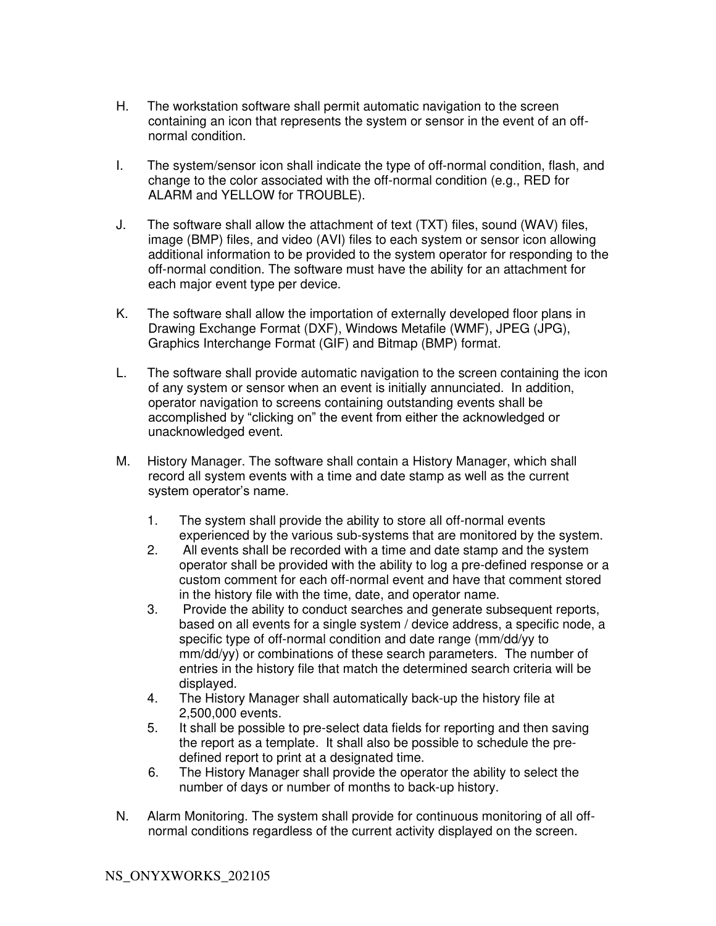- H. The workstation software shall permit automatic navigation to the screen containing an icon that represents the system or sensor in the event of an offnormal condition.
- I. The system/sensor icon shall indicate the type of off-normal condition, flash, and change to the color associated with the off-normal condition (e.g., RED for ALARM and YELLOW for TROUBLE).
- J. The software shall allow the attachment of text (TXT) files, sound (WAV) files, image (BMP) files, and video (AVI) files to each system or sensor icon allowing additional information to be provided to the system operator for responding to the off-normal condition. The software must have the ability for an attachment for each major event type per device.
- K. The software shall allow the importation of externally developed floor plans in Drawing Exchange Format (DXF), Windows Metafile (WMF), JPEG (JPG), Graphics Interchange Format (GIF) and Bitmap (BMP) format.
- L. The software shall provide automatic navigation to the screen containing the icon of any system or sensor when an event is initially annunciated. In addition, operator navigation to screens containing outstanding events shall be accomplished by "clicking on" the event from either the acknowledged or unacknowledged event.
- M. History Manager. The software shall contain a History Manager, which shall record all system events with a time and date stamp as well as the current system operator's name.
	- 1. The system shall provide the ability to store all off-normal events experienced by the various sub-systems that are monitored by the system.
	- 2. All events shall be recorded with a time and date stamp and the system operator shall be provided with the ability to log a pre-defined response or a custom comment for each off-normal event and have that comment stored in the history file with the time, date, and operator name.
	- 3. Provide the ability to conduct searches and generate subsequent reports, based on all events for a single system / device address, a specific node, a specific type of off-normal condition and date range (mm/dd/yy to mm/dd/yy) or combinations of these search parameters. The number of entries in the history file that match the determined search criteria will be displayed.
	- 4. The History Manager shall automatically back-up the history file at 2,500,000 events.
	- 5. It shall be possible to pre-select data fields for reporting and then saving the report as a template. It shall also be possible to schedule the predefined report to print at a designated time.
	- 6. The History Manager shall provide the operator the ability to select the number of days or number of months to back-up history.
- N. Alarm Monitoring. The system shall provide for continuous monitoring of all offnormal conditions regardless of the current activity displayed on the screen.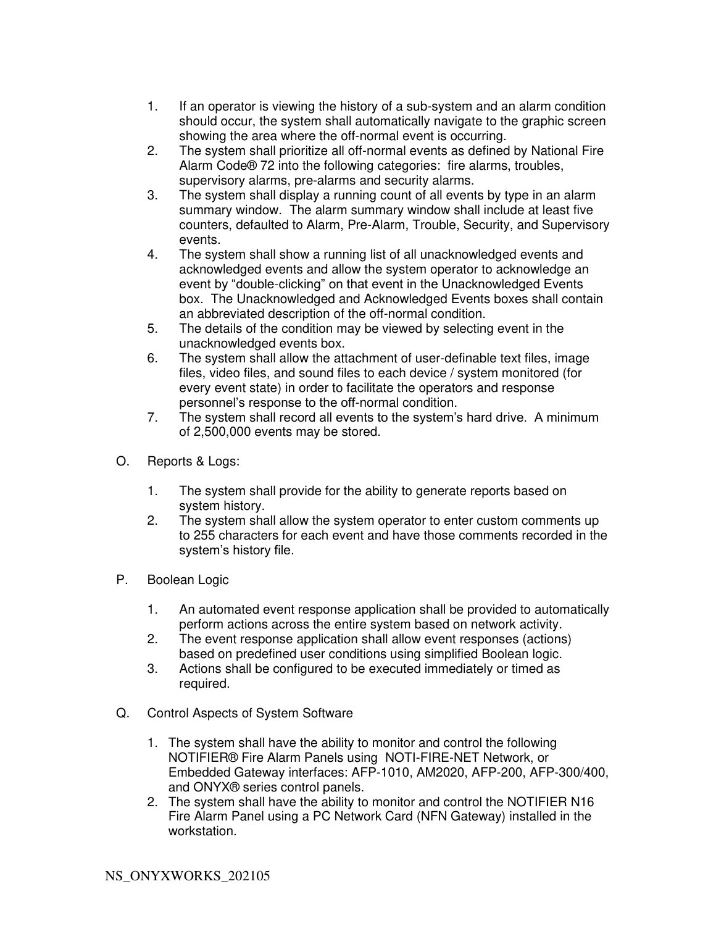- 1. If an operator is viewing the history of a sub-system and an alarm condition should occur, the system shall automatically navigate to the graphic screen showing the area where the off-normal event is occurring.
- 2. The system shall prioritize all off-normal events as defined by National Fire Alarm Code® 72 into the following categories: fire alarms, troubles, supervisory alarms, pre-alarms and security alarms.
- 3. The system shall display a running count of all events by type in an alarm summary window. The alarm summary window shall include at least five counters, defaulted to Alarm, Pre-Alarm, Trouble, Security, and Supervisory events.
- 4. The system shall show a running list of all unacknowledged events and acknowledged events and allow the system operator to acknowledge an event by "double-clicking" on that event in the Unacknowledged Events box. The Unacknowledged and Acknowledged Events boxes shall contain an abbreviated description of the off-normal condition.
- 5. The details of the condition may be viewed by selecting event in the unacknowledged events box.
- 6. The system shall allow the attachment of user-definable text files, image files, video files, and sound files to each device / system monitored (for every event state) in order to facilitate the operators and response personnel's response to the off-normal condition.
- 7. The system shall record all events to the system's hard drive. A minimum of 2,500,000 events may be stored.
- O. Reports & Logs:
	- 1. The system shall provide for the ability to generate reports based on system history.
	- 2. The system shall allow the system operator to enter custom comments up to 255 characters for each event and have those comments recorded in the system's history file.
- P. Boolean Logic
	- 1. An automated event response application shall be provided to automatically perform actions across the entire system based on network activity.
	- 2. The event response application shall allow event responses (actions) based on predefined user conditions using simplified Boolean logic.
	- 3. Actions shall be configured to be executed immediately or timed as required.
- Q. Control Aspects of System Software
	- 1. The system shall have the ability to monitor and control the following NOTIFIER® Fire Alarm Panels using NOTI-FIRE-NET Network, or Embedded Gateway interfaces: AFP-1010, AM2020, AFP-200, AFP-300/400, and ONYX® series control panels.
	- 2. The system shall have the ability to monitor and control the NOTIFIER N16 Fire Alarm Panel using a PC Network Card (NFN Gateway) installed in the workstation.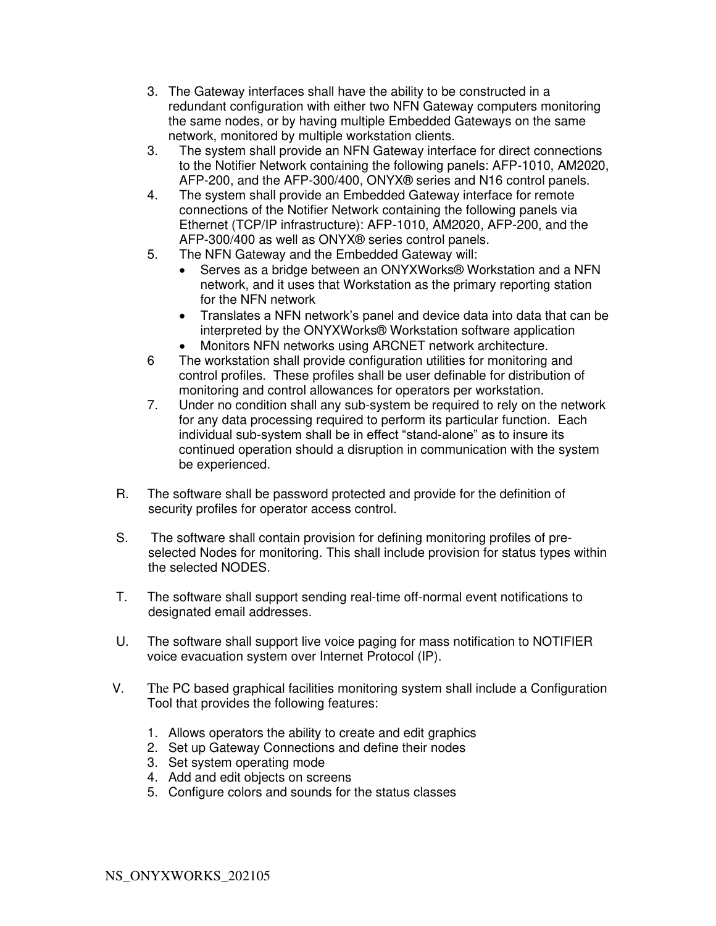- 3. The Gateway interfaces shall have the ability to be constructed in a redundant configuration with either two NFN Gateway computers monitoring the same nodes, or by having multiple Embedded Gateways on the same network, monitored by multiple workstation clients.
- 3. The system shall provide an NFN Gateway interface for direct connections to the Notifier Network containing the following panels: AFP-1010, AM2020, AFP-200, and the AFP-300/400, ONYX® series and N16 control panels.
- 4. The system shall provide an Embedded Gateway interface for remote connections of the Notifier Network containing the following panels via Ethernet (TCP/IP infrastructure): AFP-1010, AM2020, AFP-200, and the AFP-300/400 as well as ONYX® series control panels.
- 5. The NFN Gateway and the Embedded Gateway will:
	- Serves as a bridge between an ONYXWorks® Workstation and a NFN network, and it uses that Workstation as the primary reporting station for the NFN network
	- Translates a NFN network's panel and device data into data that can be interpreted by the ONYXWorks® Workstation software application
	- Monitors NFN networks using ARCNET network architecture.
- 6 The workstation shall provide configuration utilities for monitoring and control profiles. These profiles shall be user definable for distribution of monitoring and control allowances for operators per workstation.
- 7. Under no condition shall any sub-system be required to rely on the network for any data processing required to perform its particular function. Each individual sub-system shall be in effect "stand-alone" as to insure its continued operation should a disruption in communication with the system be experienced.
- R. The software shall be password protected and provide for the definition of security profiles for operator access control.
- S. The software shall contain provision for defining monitoring profiles of preselected Nodes for monitoring. This shall include provision for status types within the selected NODES.
- T. The software shall support sending real-time off-normal event notifications to designated email addresses.
- U. The software shall support live voice paging for mass notification to NOTIFIER voice evacuation system over Internet Protocol (IP).
- V. The PC based graphical facilities monitoring system shall include a Configuration Tool that provides the following features:
	- 1. Allows operators the ability to create and edit graphics
	- 2. Set up Gateway Connections and define their nodes
	- 3. Set system operating mode
	- 4. Add and edit objects on screens
	- 5. Configure colors and sounds for the status classes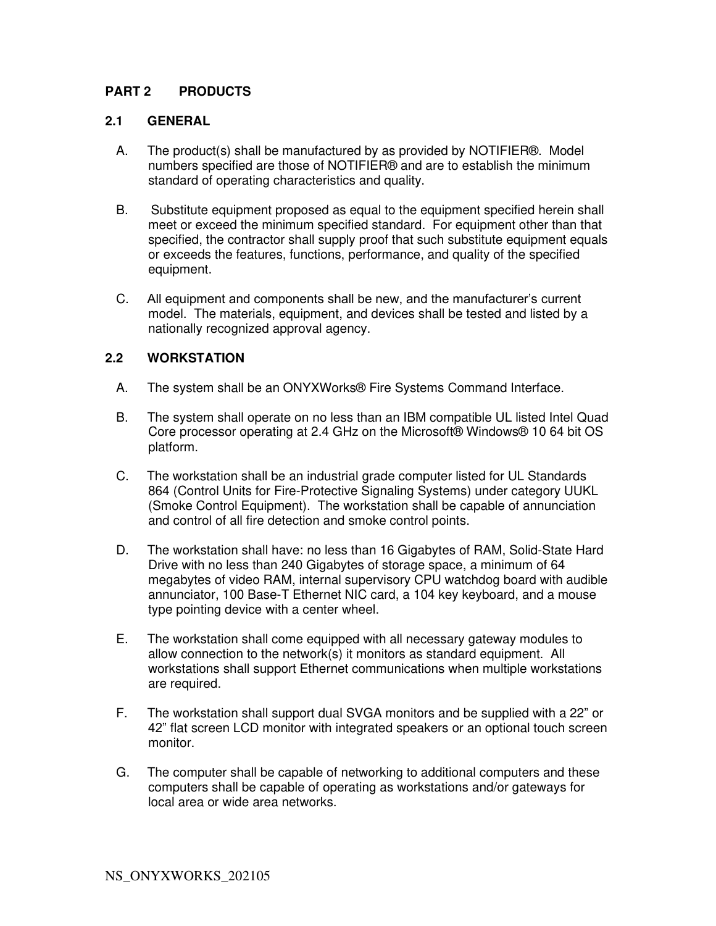### **PART 2 PRODUCTS**

#### **2.1 GENERAL**

- A. The product(s) shall be manufactured by as provided by NOTIFIER®. Model numbers specified are those of NOTIFIER® and are to establish the minimum standard of operating characteristics and quality.
- B. Substitute equipment proposed as equal to the equipment specified herein shall meet or exceed the minimum specified standard. For equipment other than that specified, the contractor shall supply proof that such substitute equipment equals or exceeds the features, functions, performance, and quality of the specified equipment.
- C. All equipment and components shall be new, and the manufacturer's current model. The materials, equipment, and devices shall be tested and listed by a nationally recognized approval agency.

#### **2.2 WORKSTATION**

- A. The system shall be an ONYXWorks® Fire Systems Command Interface.
- B. The system shall operate on no less than an IBM compatible UL listed Intel Quad Core processor operating at 2.4 GHz on the Microsoft® Windows® 10 64 bit OS platform.
- C. The workstation shall be an industrial grade computer listed for UL Standards 864 (Control Units for Fire-Protective Signaling Systems) under category UUKL (Smoke Control Equipment). The workstation shall be capable of annunciation and control of all fire detection and smoke control points.
- D. The workstation shall have: no less than 16 Gigabytes of RAM, Solid-State Hard Drive with no less than 240 Gigabytes of storage space, a minimum of 64 megabytes of video RAM, internal supervisory CPU watchdog board with audible annunciator, 100 Base-T Ethernet NIC card, a 104 key keyboard, and a mouse type pointing device with a center wheel.
- E. The workstation shall come equipped with all necessary gateway modules to allow connection to the network(s) it monitors as standard equipment. All workstations shall support Ethernet communications when multiple workstations are required.
- F. The workstation shall support dual SVGA monitors and be supplied with a 22" or 42" flat screen LCD monitor with integrated speakers or an optional touch screen monitor.
- G. The computer shall be capable of networking to additional computers and these computers shall be capable of operating as workstations and/or gateways for local area or wide area networks.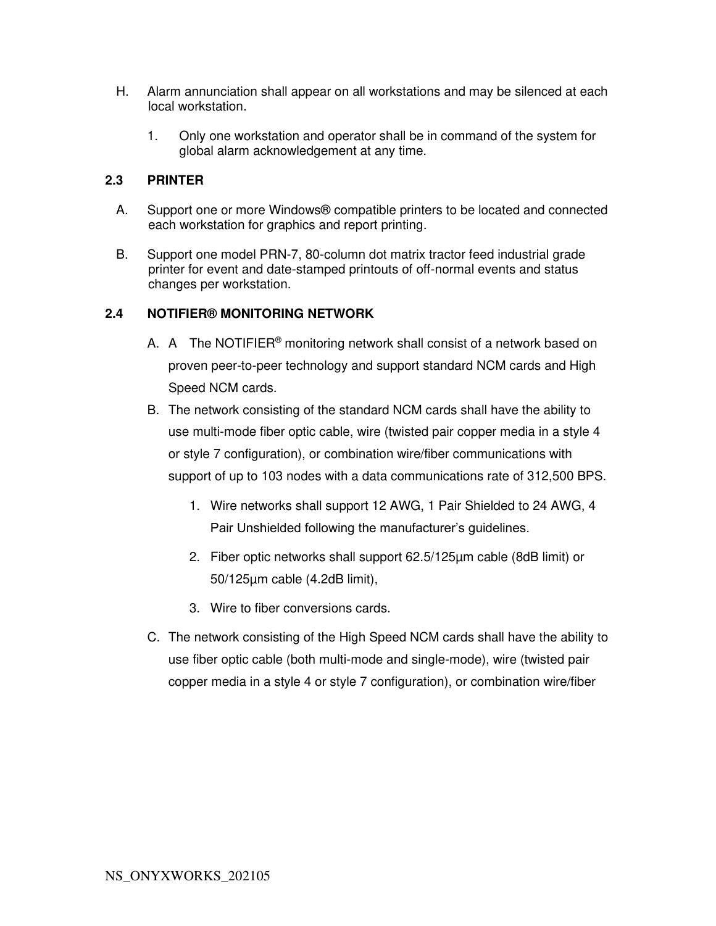- H. Alarm annunciation shall appear on all workstations and may be silenced at each local workstation.
	- 1. Only one workstation and operator shall be in command of the system for global alarm acknowledgement at any time.

### **2.3 PRINTER**

- A. Support one or more Windows® compatible printers to be located and connected each workstation for graphics and report printing.
- B. Support one model PRN-7, 80-column dot matrix tractor feed industrial grade printer for event and date-stamped printouts of off-normal events and status changes per workstation.

### **2.4 NOTIFIER® MONITORING NETWORK**

- A. A The NOTIFIER<sup>®</sup> monitoring network shall consist of a network based on proven peer-to-peer technology and support standard NCM cards and High Speed NCM cards.
- B. The network consisting of the standard NCM cards shall have the ability to use multi-mode fiber optic cable, wire (twisted pair copper media in a style 4 or style 7 configuration), or combination wire/fiber communications with support of up to 103 nodes with a data communications rate of 312,500 BPS.
	- 1. Wire networks shall support 12 AWG, 1 Pair Shielded to 24 AWG, 4 Pair Unshielded following the manufacturer's guidelines.
	- 2. Fiber optic networks shall support 62.5/125µm cable (8dB limit) or 50/125µm cable (4.2dB limit),
	- 3. Wire to fiber conversions cards.
- C. The network consisting of the High Speed NCM cards shall have the ability to use fiber optic cable (both multi-mode and single-mode), wire (twisted pair copper media in a style 4 or style 7 configuration), or combination wire/fiber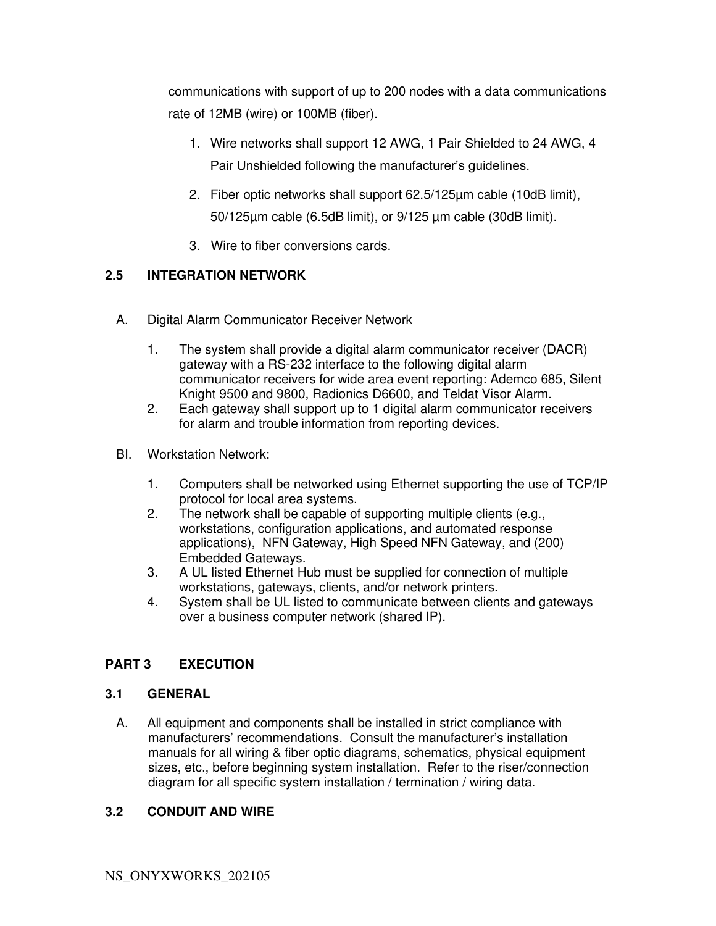communications with support of up to 200 nodes with a data communications rate of 12MB (wire) or 100MB (fiber).

- 1. Wire networks shall support 12 AWG, 1 Pair Shielded to 24 AWG, 4 Pair Unshielded following the manufacturer's guidelines.
- 2. Fiber optic networks shall support 62.5/125  $\mu$ m cable (10dB limit), 50/125µm cable (6.5dB limit), or 9/125 µm cable (30dB limit).
- 3. Wire to fiber conversions cards.

# **2.5 INTEGRATION NETWORK**

- A. Digital Alarm Communicator Receiver Network
	- 1. The system shall provide a digital alarm communicator receiver (DACR) gateway with a RS-232 interface to the following digital alarm communicator receivers for wide area event reporting: Ademco 685, Silent Knight 9500 and 9800, Radionics D6600, and Teldat Visor Alarm.
	- 2. Each gateway shall support up to 1 digital alarm communicator receivers for alarm and trouble information from reporting devices.
- BI. Workstation Network:
	- 1. Computers shall be networked using Ethernet supporting the use of TCP/IP protocol for local area systems.
	- 2. The network shall be capable of supporting multiple clients (e.g., workstations, configuration applications, and automated response applications), NFN Gateway, High Speed NFN Gateway, and (200) Embedded Gateways.
	- 3. A UL listed Ethernet Hub must be supplied for connection of multiple workstations, gateways, clients, and/or network printers.
	- 4. System shall be UL listed to communicate between clients and gateways over a business computer network (shared IP).

# **PART 3 EXECUTION**

## **3.1 GENERAL**

A. All equipment and components shall be installed in strict compliance with manufacturers' recommendations. Consult the manufacturer's installation manuals for all wiring & fiber optic diagrams, schematics, physical equipment sizes, etc., before beginning system installation. Refer to the riser/connection diagram for all specific system installation / termination / wiring data.

## **3.2 CONDUIT AND WIRE**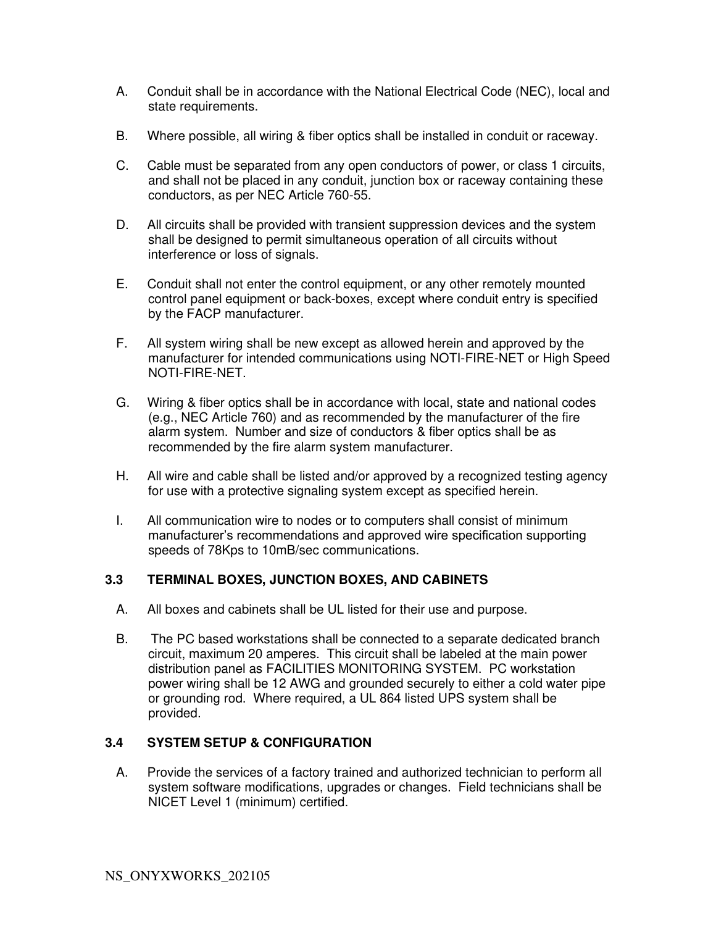- A. Conduit shall be in accordance with the National Electrical Code (NEC), local and state requirements.
- B. Where possible, all wiring & fiber optics shall be installed in conduit or raceway.
- C. Cable must be separated from any open conductors of power, or class 1 circuits, and shall not be placed in any conduit, junction box or raceway containing these conductors, as per NEC Article 760-55.
- D. All circuits shall be provided with transient suppression devices and the system shall be designed to permit simultaneous operation of all circuits without interference or loss of signals.
- E. Conduit shall not enter the control equipment, or any other remotely mounted control panel equipment or back-boxes, except where conduit entry is specified by the FACP manufacturer.
- F. All system wiring shall be new except as allowed herein and approved by the manufacturer for intended communications using NOTI-FIRE-NET or High Speed NOTI-FIRE-NET.
- G. Wiring & fiber optics shall be in accordance with local, state and national codes (e.g., NEC Article 760) and as recommended by the manufacturer of the fire alarm system. Number and size of conductors & fiber optics shall be as recommended by the fire alarm system manufacturer.
- H. All wire and cable shall be listed and/or approved by a recognized testing agency for use with a protective signaling system except as specified herein.
- I. All communication wire to nodes or to computers shall consist of minimum manufacturer's recommendations and approved wire specification supporting speeds of 78Kps to 10mB/sec communications.

#### **3.3 TERMINAL BOXES, JUNCTION BOXES, AND CABINETS**

- A. All boxes and cabinets shall be UL listed for their use and purpose.
- B. The PC based workstations shall be connected to a separate dedicated branch circuit, maximum 20 amperes. This circuit shall be labeled at the main power distribution panel as FACILITIES MONITORING SYSTEM. PC workstation power wiring shall be 12 AWG and grounded securely to either a cold water pipe or grounding rod. Where required, a UL 864 listed UPS system shall be provided.

#### **3.4 SYSTEM SETUP & CONFIGURATION**

A. Provide the services of a factory trained and authorized technician to perform all system software modifications, upgrades or changes. Field technicians shall be NICET Level 1 (minimum) certified.